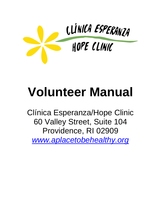

# **Volunteer Manual**

Clínica Esperanza/Hope Clinic 60 Valley Street, Suite 104 Providence, RI 02909 *[www.aplacetobehealthy.org](http://www.aplacetobehealthy.org/)*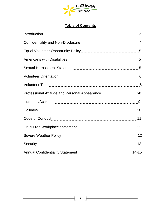

## **Table of Contents**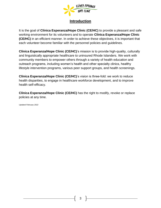

## **Introduction**

It is the goal of **Clínica Esperanza/Hope Clinic (CE/HC)** to provide a pleasant and safe working environment for its volunteers and to operate **Clínica Esperanza/Hope Clinic (CE/HC)** in an efficient manner. In order to achieve these objectives, it is important that each volunteer become familiar with the personnel policies and guidelines.

**Clínica Esperanza/Hope Clinic (CE/HC)**'s mission is to provide high-quality, culturally and linguistically appropriate healthcare to uninsured Rhode Islanders. We work with community members to empower others through a variety of health education and outreach programs, including women's health and other specialty clinics, healthy lifestyle intervention programs, various peer support groups, and health screenings.

**Clínica Esperanza/Hope Clinic (CE/HC)**'s vision is three-fold: we work to reduce health disparities, to engage in healthcare workforce development, and to improve health self-efficacy.

**Clínica Esperanza/Hope Clinic (CE/HC)** has the right to modify, revoke or replace policies at any time.

*Updated February 2022*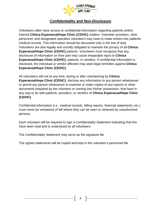

## **Confidentiality and Non-Disclosure**

Volunteers often have access to confidential information regarding patients and/or internal **Clínica Esperanza/Hope Clinic (CE/HC)** matters. Volunteer providers, clinic personnel, and designated operation volunteers may have to make entries into patients' medical records. This information should be discussed only in the line of duty. Volunteers are also legally and morally obligated to maintain the privacy of all **Clínica Esperanza/Hope Clinic (CE/HC)** patients. Volunteers must recognize that any disclosure of information on their part may cause irreparable injury to **Clínica Esperanza/Hope Clinic (CE/HC)**, patients, or vendors. If confidential information is disclosed, the individual or vendor affected may seek legal remedies against **Clínica Esperanza/Hope Clinic (CE/HC)**.

All volunteers will not at any time, during or after volunteering by **Clínica Esperanza/Hope Clinic (CE/HC)**, disclose any information to any person whatsoever, or permit any person whatsoever to examine or make copies of any reports or other documents prepared by the volunteer or coming into his/her possession, that have in any way to do with patients, providers, or vendors of **Clínica Esperanza/Hope Clinic (CE/HC)**.

Confidential information (i.e., medical records, billing reports, financial statements, etc.) must never be verbalized of left where they can be seen or retrieved by unauthorized persons.

Each volunteer will be required to sign a Confidentiality Statement indicating that this have been read and is understood by all volunteers.

The Confidentiality Statement may serve as the signature file.

The signed statements will be copied and kept in the volunteer's personnel file.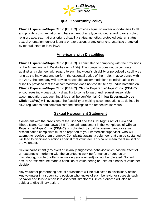

## **Equal Opportunity Policy**

**Clínica Esperanza/Hope Clinic (CE/HC)** provides equal volunteer opportunities to all and prohibits discrimination and harassment of any type without regard to race, color, religion, age, sex, national origin, disability status, genetics, protected veteran status, sexual orientation, gender identity or expression, or any other characteristic protected by federal, state or local laws.

## **Americans with Disabilities**

**Clínica Esperanza/Hope Clinic (CE/HC)** is committed to complying with the provisions of the Americans with Disabilities Act (ADA). The company does not discriminate against any volunteer with regard to such individual's disability or perceived disability as long as the individual and perform the essential duties of their role. In accordance with the ADA, the company will provide reasonable accommodations to individuals with a disability provided that the accommodation does not constitute any undue hardship on **Clínica Esperanza/Hope Clinic (CE/HC)**. **Clínica Esperanza/Hope Clinic (CE/HC)** encourages individuals with a disability to come forward and request reasonable accommodation; ass such inquiries shall be confidential. **Clínica Esperanza/Hope Clinic (CE/HC)** will investigate the feasibility of making accommodations as defined in ADA regulations and communicate the findings to the respective individual.

## **Sexual Harassment Statement**

Consistent with the provisions of the Title VII and the Civil Rights Act of 1964 and Rhode Island General Laws 28-5-7, sexual harassment in the workplaces of **Clínica Esperanza/Hope Clinic (CE/HC)** is prohibited. Sexual harassment and/or sexual discrimination complaints must be reported to your immediate supervisor, who will attempt to resolve them promptly. Complaints against a volunteer that can be sustained will lead to disciplinary actions against that volunteer. This could mean the dismissal of the volunteer.

Sexual harassment (any overt or sexually suggestive behavior which has the effect of unreasonable interfering with the volunteer's work performance or creates an intimidating, hostile or offensive working environment) will not be tolerated. Nor will sexual harassment be made a condition of volunteering or used as a basis of volunteer decision.

Any volunteer perpetrating sexual harassment will be subjected to disciplinary action. Any volunteer in a supervisory position who knows of such behavior or suspects such behavior and fails to report it to Assistant Director of Clinical Services will also be subject to disciplinary action.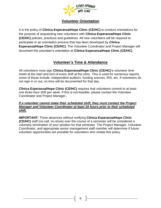

## **Volunteer Orientation**

It is the policy of **Clínica Esperanza/Hope Clinic (CE/HC)** to conduct orientations for the purpose of acquainting new volunteers with **Clínica Esperanza/Hope Clinic (CE/HC)** policies, practices and guidelines. All new volunteers will be required to participate in an orientation process that has been developed by **Clínica Esperanza/Hope Clinic (CE/HC)**. The Volunteer Coordinator and Project Manager will document the volunteer's orientation at **Clínica Esperanza/Hope Clinic (CE/HC)**.

## **Volunteer's Time & Attendance**

All volunteers must sign **Clínica Esperanza/Hope Clinic (CE/HC)**'s volunteer time sheet at the start and end of every shift at the clinic. This is used for numerous reports, some of these include: independent auditors, funding sources, IRS, etc. If volunteers do not sign in or out, no time will be documented for that day.

**Clínica Esperanza/Hope Clinic (CE/HC)** requires that volunteers commit to at least one three-hour shift per week. If this is not feasible, please contact the Volunteer Coordinator and Project Manager.

#### *If a volunteer cannot make their scheduled shift, they must contact the Project Manager and Volunteer Coordinator at least 24 hours prior to their scheduled shift.*

**IMPORTANT:** Three absences without notifying **Clínica Esperanza/Hope Clinic (CE/HC)** staff (no-call, no-show) over the course of a semester will be considered a voluntary termination of your position for that semester. The Project Manager, Volunteer Coordinator, and appropriate senior management staff member will determine if future volunteer opportunities are possible for volunteers who violate this policy.

6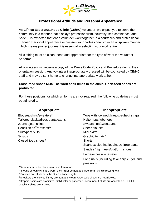

## **Professional Attitude and Personal Appearance**

As **Clínica Esperanza/Hope Clinic (CE/HC)** volunteer, we expect you to serve the community in a manner that displays professionalism, courtesy, self-confidence, and pride. It is expected that each volunteer work together in a courteous and professional manner. Personal appearance expresses your professionalism in an unspoken manner which means proper judgment is essential in selecting your work attire.

All clothing must be clean, neat, and appropriate for the type of work the volunteer performs.

All volunteers will receive a copy of the Dress Code Policy and Procedure during their orientation session. Any volunteer inappropriately dressed will be counseled by CE/HC staff and may be sent home to change into appropriate work attire.

#### **Close-toed shoes MUST be worn at all times in the clinic. Open-toed shoes are prohibited.**

For those positions for which uniforms are **not** required, the following guidelines must be adhered to:

**Appropriate Inappropriate**

| <b>APPI VPI KKV</b>                              | <b>HIUPPI PPI KIU</b>                                     |
|--------------------------------------------------|-----------------------------------------------------------|
| Blouses/shirts/sweaters*                         | Tops with low necklines/spaghetti straps                  |
| Tailored slacks/dress pants/capris               | Halter tops/tube tops                                     |
| Jeans^/jean skirts^                              | Sweatshirts/sweatpants                                    |
| Pencil skirts <sup>%</sup> /dresses <sup>%</sup> | <b>Sheer blouses</b>                                      |
| Suits/pant suits                                 | Mini skirts                                               |
| <b>Scrubs</b>                                    | Graphic t-shirts <sup>\$</sup>                            |
| Closed-toed shoes <sup>&amp;</sup>               | <b>Shorts</b>                                             |
|                                                  | Spandex clothing/leggings/stirrup pants                   |
|                                                  | Sandals/high heels/platform shoes                         |
|                                                  | Large/excessive jewelry                                   |
|                                                  | Long nails (including fake acrylic, gel, and<br>press-on) |

**\***Sweaters must be clean, neat, and free of rips.

**^**If jeans or jean skirts are worn, they **must** be neat and free from rips, distressing, etc.

**%**Dresses and skirts must be at least knee length.

**&**Sneakers are allowed if they are neat and clean. Croc-style shoes are not allowed.

**\$**Graphic t-shirts are prohibited. Solid color or patterned, clean, neat t-shirts are acceptable. CE/HC graphic t-shirts are allowed.

7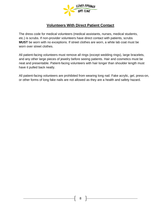

## **Volunteers With Direct Patient Contact**

The dress code for medical volunteers (medical assistants, nurses, medical students, etc.) is scrubs. If non-provider volunteers have direct contact with patients, scrubs **MUST** be worn with no exceptions. If street clothes are worn, a white lab coat must be worn over street clothes.

All patient-facing volunteers must remove all rings (except wedding rings), large bracelets, and any other large pieces of jewelry before seeing patients. Hair and cosmetics must be neat and presentable. Patient-facing volunteers with hair longer than shoulder length must have it pulled back neatly.

All patient-facing volunteers are prohibited from wearing long nail. Fake acrylic, gel, press-on, or other forms of long fake nails are not allowed as they are a health and safety hazard.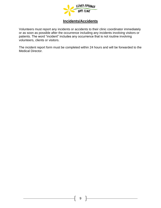

## **Incidents/Accidents**

Volunteers must report any incidents or accidents to their clinic coordinator immediately or as soon as possible after the occurrence including any incidents involving visitors or patients. The word "incident" includes any occurrence that is not routine involving volunteers, clients or visitors.

The incident report form must be completed within 24 hours and will be forwarded to the Medical Director.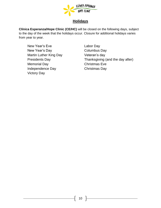

## **Holidays**

**Clínica Esperanza/Hope Clinic (CE/HC)** will be closed on the following days, subject to the day of the week that the holidays occur. Closure for additional holidays varies from year to year.

New Year's Eve **Labor Day** New Year's Day **Columbus Day** Martin Luther King Day **Veteran's day** Memorial Day **Christmas Eve** Independence Day Christmas Day Victory Day

Presidents Day Thanksgiving (and the day after)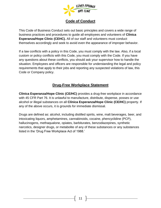

## **Code of Conduct**

This Code of Business Conduct sets out basic principles and covers a wide range of business practices and procedures to guide all employees and volunteers of **Clínica Esperanza/Hope Clinic (CEHC).** All of our staff and volunteers must conduct themselves accordingly and seek to avoid even the appearance of improper behavior.

If a law conflicts with a policy in this Code, you must comply with the law. Also, if a local custom or policy conflicts with this Code, you must comply with the Code. If you have any questions about these conflicts, you should ask your supervisor how to handle the situation. Employees and officers are responsible for understanding the legal and policy requirements that apply to their jobs and reporting any suspected violations of law, this Code or Company policy.

## **Drug-Free Workplace Statement**

**Clínica Esperanza/Hope Clinic (CE/HC)** provides a drug-free workplace in accordance with 45 CFR Part 76. It is unlawful to manufacture, distribute, dispense, posses or use alcohol or illegal substances on all **Clínica Esperanza/Hope Clinic (CE/HC)** property. If any of the above occurs, it is grounds for immediate dismissal.

Drugs are defined as: alcohol, including distilled spirits, wine, malt beverages, beer, and intoxicating liquors, amphetamines, cannabinoids, cocaine, phencyclidine (PCP), hallucinogens, methaqualone, opiates, barbiturates, benzodiazepines, synthetic narcotics, designer drugs, or metabolite of any of these substances or any substances listed in the 'Drug Free Workplace Act of 1988.'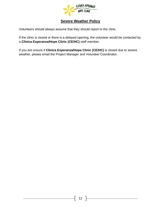

## **Severe Weather Policy**

Volunteers should always assume that they should report to the clinic.

If the clinic is closed or there is a delayed opening, the volunteer would be contacted by a **Clínica Esperanza/Hope Clinic (CE/HC)** staff member.

If you are unsure if **Clínica Esperanza/Hope Clinic (CE/HC)** is closed due to severe weather, please email the Project Manager and Volunteer Coordinator.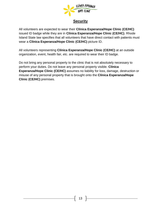

## **Security**

All volunteers are expected to wear their **Clínica Esperanza/Hope Clinic (CE/HC)** issued ID badge while they are in **Clínica Esperanza/Hope Clinic (CE/HC)**. Rhode Island State law specifies that all volunteers that have direct contact with patients must wear a **Clínica Esperanza/Hope Clinic (CE/HC)** picture ID.

All volunteers representing **Clínica Esperanza/Hope Clinic (CE/HC)** at an outside organization, event, health fair, etc. are required to wear their ID badge.

Do not bring any personal property to the clinic that is not absolutely necessary to perform your duties. Do not leave any personal property visible. **Clínica Esperanza/Hope Clinic (CE/HC)** assumes no liability for loss, damage, destruction or misuse of any personal property that is brought onto the **Clínica Esperanza/Hope Clinic (CE/HC)** premises.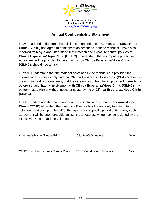

60 Valley Street, Suite 104 Providence, RI 02909 *[www.aplacetobehealthy.org](http://www.aplacetobehealthy.org/)*

## **Annual Confidentiality Statement**

I have read and understand the policies and procedures of **Clínica Esperanza/Hope Clinic (CE/HC)** and agree to abide them as described in these manuals. I have also received training in and understand that infection and exposure control policies of **Clínica Esperanza/Hope Clinic (CE/HC)**. I understand that appropriate protective equipment will be provided to me at no cost by **Clínica Esperanza/Hope Clinic (CE/HC)**, should I be at risk.

Further, I understand that the material contained in the manuals are provided for informational purposes only and that **Clínica Esperanza/Hope Clinic (CE/HC)** reserves the right to modify the manuals, that they are not a contract for employment, benefits, or otherwise, and that my involvement with **Clínica Esperanza/Hope Clinic (CE/HC)** may be terminated with or without notice or cause by me or **Clínica Esperanza/Hope Clinic (CE/HC)**.

I further understand that no manager or representative of **Clínica Esperanza/Hope Clinic (CE/HC)** other than the Executive Director has the authority to enter into any volunteer relationship on behalf of the agency for a specific period of time. Any such agreement will be unenforceable unless it is an express written consent signed by the Executive Director and the volunteer.

| Volunteer's Name (Please Print)               | Volunteer's Signature               | Date |
|-----------------------------------------------|-------------------------------------|------|
| <b>CEHC Coordinator's Name (Please Print)</b> | <b>CEHC Coordinator's Signature</b> | Date |